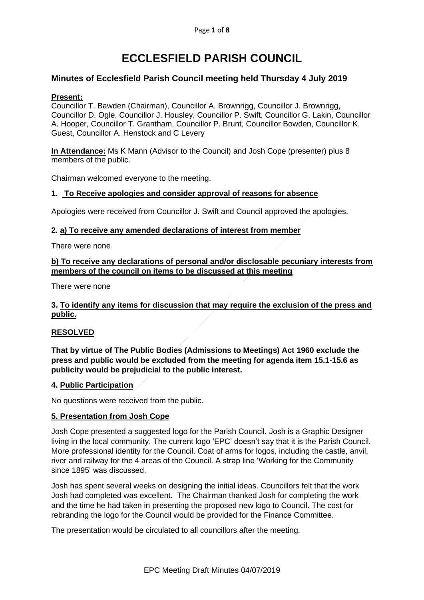# **ECCLESFIELD PARISH COUNCIL**

# **Minutes of Ecclesfield Parish Council meeting held Thursday 4 July 2019**

## **Present:**

Councillor T. Bawden (Chairman), Councillor A. Brownrigg, Councillor J. Brownrigg, Councillor D. Ogle, Councillor J. Housley, Councillor P. Swift, Councillor G. Lakin, Councillor A. Hooper, Councillor T. Grantham, Councillor P. Brunt, Councillor Bowden, Councillor K. Guest, Councillor A. Henstock and C Levery

**In Attendance:** Ms K Mann (Advisor to the Council) and Josh Cope (presenter) plus 8 members of the public.

Chairman welcomed everyone to the meeting.

#### **1. To Receive apologies and consider approval of reasons for absence**

Apologies were received from Councillor J. Swift and Council approved the apologies.

#### **2. a) To receive any amended declarations of interest from member**

There were none

## **b) To receive any declarations of personal and/or disclosable pecuniary interests from members of the council on items to be discussed at this meeting**

There were none

## **3. To identify any items for discussion that may require the exclusion of the press and public.**

## **RESOLVED**

**That by virtue of The Public Bodies (Admissions to Meetings) Act 1960 exclude the press and public would be excluded from the meeting for agenda item 15.1-15.6 as publicity would be prejudicial to the public interest.**

## **4. Public Participation**

No questions were received from the public.

## **5. Presentation from Josh Cope**

Josh Cope presented a suggested logo for the Parish Council. Josh is a Graphic Designer living in the local community. The current logo 'EPC' doesn't say that it is the Parish Council. More professional identity for the Council. Coat of arms for logos, including the castle, anvil, river and railway for the 4 areas of the Council. A strap line 'Working for the Community since 1895' was discussed.

Josh has spent several weeks on designing the initial ideas. Councillors felt that the work Josh had completed was excellent. The Chairman thanked Josh for completing the work and the time he had taken in presenting the proposed new logo to Council. The cost for rebranding the logo for the Council would be provided for the Finance Committee.

The presentation would be circulated to all councillors after the meeting.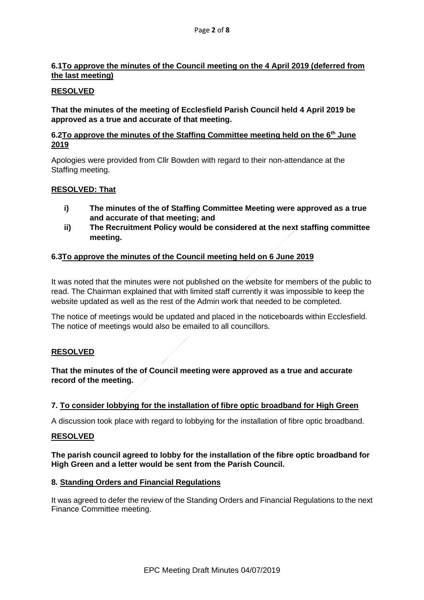# **6.1To approve the minutes of the Council meeting on the 4 April 2019 (deferred from the last meeting)**

# **RESOLVED**

**That the minutes of the meeting of Ecclesfield Parish Council held 4 April 2019 be approved as a true and accurate of that meeting.**

# **6.2To approve the minutes of the Staffing Committee meeting held on the 6th June 2019**

Apologies were provided from Cllr Bowden with regard to their non-attendance at the Staffing meeting.

## **RESOLVED: That**

- **i) The minutes of the of Staffing Committee Meeting were approved as a true and accurate of that meeting; and**
- **ii) The Recruitment Policy would be considered at the next staffing committee meeting.**

# **6.3To approve the minutes of the Council meeting held on 6 June 2019**

It was noted that the minutes were not published on the website for members of the public to read. The Chairman explained that with limited staff currently it was impossible to keep the website updated as well as the rest of the Admin work that needed to be completed.

The notice of meetings would be updated and placed in the noticeboards within Ecclesfield. The notice of meetings would also be emailed to all councillors.

## **RESOLVED**

**That the minutes of the of Council meeting were approved as a true and accurate record of the meeting.**

## **7. To consider lobbying for the installation of fibre optic broadband for High Green**

A discussion took place with regard to lobbying for the installation of fibre optic broadband.

## **RESOLVED**

## **The parish council agreed to lobby for the installation of the fibre optic broadband for High Green and a letter would be sent from the Parish Council.**

## **8. Standing Orders and Financial Regulations**

It was agreed to defer the review of the Standing Orders and Financial Regulations to the next Finance Committee meeting.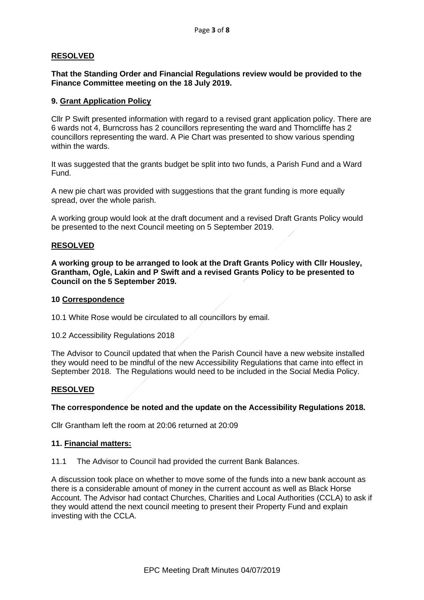## **RESOLVED**

## **That the Standing Order and Financial Regulations review would be provided to the Finance Committee meeting on the 18 July 2019.**

## **9. Grant Application Policy**

Cllr P Swift presented information with regard to a revised grant application policy. There are 6 wards not 4, Burncross has 2 councillors representing the ward and Thorncliffe has 2 councillors representing the ward. A Pie Chart was presented to show various spending within the wards.

It was suggested that the grants budget be split into two funds, a Parish Fund and a Ward Fund.

A new pie chart was provided with suggestions that the grant funding is more equally spread, over the whole parish.

A working group would look at the draft document and a revised Draft Grants Policy would be presented to the next Council meeting on 5 September 2019.

## **RESOLVED**

**A working group to be arranged to look at the Draft Grants Policy with Cllr Housley, Grantham, Ogle, Lakin and P Swift and a revised Grants Policy to be presented to Council on the 5 September 2019.**

#### **10 Correspondence**

- 10.1 White Rose would be circulated to all councillors by email.
- 10.2 Accessibility Regulations 2018

The Advisor to Council updated that when the Parish Council have a new website installed they would need to be mindful of the new Accessibility Regulations that came into effect in September 2018. The Regulations would need to be included in the Social Media Policy.

## **RESOLVED**

#### **The correspondence be noted and the update on the Accessibility Regulations 2018.**

Cllr Grantham left the room at 20:06 returned at 20:09

#### **11. Financial matters:**

11.1 The Advisor to Council had provided the current Bank Balances.

A discussion took place on whether to move some of the funds into a new bank account as there is a considerable amount of money in the current account as well as Black Horse Account. The Advisor had contact Churches, Charities and Local Authorities (CCLA) to ask if they would attend the next council meeting to present their Property Fund and explain investing with the CCLA.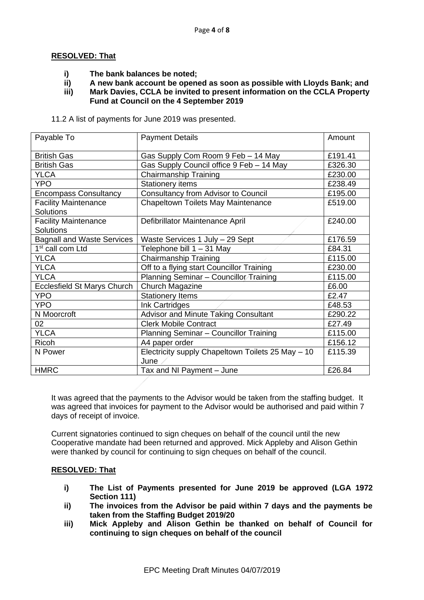## **RESOLVED: That**

- **i) The bank balances be noted;**
- **ii) A new bank account be opened as soon as possible with Lloyds Bank; and**
- **iii) Mark Davies, CCLA be invited to present information on the CCLA Property Fund at Council on the 4 September 2019**

11.2 A list of payments for June 2019 was presented.

| Payable To                                      | <b>Payment Details</b>                                    | Amount  |
|-------------------------------------------------|-----------------------------------------------------------|---------|
| <b>British Gas</b>                              | Gas Supply Com Room 9 Feb - 14 May                        | £191.41 |
| <b>British Gas</b>                              | Gas Supply Council office 9 Feb - 14 May                  | £326.30 |
| <b>YLCA</b>                                     | Chairmanship Training                                     | £230.00 |
| <b>YPO</b>                                      | <b>Stationery items</b>                                   | £238.49 |
| <b>Encompass Consultancy</b>                    | <b>Consultancy from Advisor to Council</b>                | £195.00 |
| <b>Facility Maintenance</b><br><b>Solutions</b> | Chapeltown Toilets May Maintenance                        | £519.00 |
| <b>Facility Maintenance</b><br><b>Solutions</b> | Defibrillator Maintenance April                           | £240.00 |
| <b>Bagnall and Waste Services</b>               | Waste Services 1 July - 29 Sept                           | £176.59 |
| 1 <sup>st</sup> call com Ltd                    | Telephone bill 1 - 31 May                                 | £84.31  |
| <b>YLCA</b>                                     | <b>Chairmanship Training</b>                              | £115.00 |
| <b>YLCA</b>                                     | Off to a flying start Councillor Training                 | £230.00 |
| <b>YLCA</b>                                     | Planning Seminar - Councillor Training                    | £115.00 |
| Ecclesfield St Marys Church                     | Church Magazine                                           | £6.00   |
| <b>YPO</b>                                      | <b>Stationery Items</b>                                   | £2.47   |
| <b>YPO</b>                                      | Ink Cartridges                                            | £48.53  |
| N Moorcroft                                     | Advisor and Minute Taking Consultant                      | £290.22 |
| 02                                              | <b>Clerk Mobile Contract</b>                              | £27.49  |
| <b>YLCA</b>                                     | Planning Seminar - Councillor Training                    | £115.00 |
| <b>Ricoh</b>                                    | A4 paper order                                            | £156.12 |
| N Power                                         | Electricity supply Chapeltown Toilets 25 May - 10<br>June | £115.39 |
| <b>HMRC</b>                                     | Tax and NI Payment - June                                 | £26.84  |

It was agreed that the payments to the Advisor would be taken from the staffing budget. It was agreed that invoices for payment to the Advisor would be authorised and paid within 7 days of receipt of invoice.

Current signatories continued to sign cheques on behalf of the council until the new Cooperative mandate had been returned and approved. Mick Appleby and Alison Gethin were thanked by council for continuing to sign cheques on behalf of the council.

## **RESOLVED: That**

- **i) The List of Payments presented for June 2019 be approved (LGA 1972 Section 111)**
- **ii) The invoices from the Advisor be paid within 7 days and the payments be taken from the Staffing Budget 2019/20**
- **iii) Mick Appleby and Alison Gethin be thanked on behalf of Council for continuing to sign cheques on behalf of the council**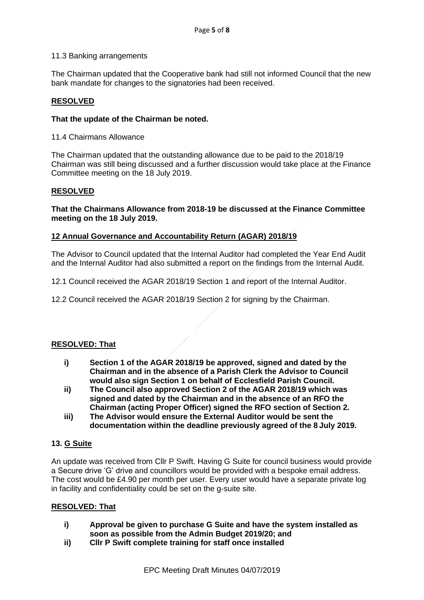#### 11.3 Banking arrangements

The Chairman updated that the Cooperative bank had still not informed Council that the new bank mandate for changes to the signatories had been received.

# **RESOLVED**

## **That the update of the Chairman be noted.**

11.4 Chairmans Allowance

The Chairman updated that the outstanding allowance due to be paid to the 2018/19 Chairman was still being discussed and a further discussion would take place at the Finance Committee meeting on the 18 July 2019.

#### **RESOLVED**

**That the Chairmans Allowance from 2018-19 be discussed at the Finance Committee meeting on the 18 July 2019.**

## **12 Annual Governance and Accountability Return (AGAR) 2018/19**

The Advisor to Council updated that the Internal Auditor had completed the Year End Audit and the Internal Auditor had also submitted a report on the findings from the Internal Audit.

12.1 Council received the AGAR 2018/19 Section 1 and report of the Internal Auditor.

12.2 Council received the AGAR 2018/19 Section 2 for signing by the Chairman.

#### **RESOLVED: That**

- **i) Section 1 of the AGAR 2018/19 be approved, signed and dated by the Chairman and in the absence of a Parish Clerk the Advisor to Council would also sign Section 1 on behalf of Ecclesfield Parish Council.**
- **ii) The Council also approved Section 2 of the AGAR 2018/19 which was signed and dated by the Chairman and in the absence of an RFO the Chairman (acting Proper Officer) signed the RFO section of Section 2.**
- **iii) The Advisor would ensure the External Auditor would be sent the documentation within the deadline previously agreed of the 8 July 2019.**

## **13. G Suite**

An update was received from Cllr P Swift. Having G Suite for council business would provide a Secure drive 'G' drive and councillors would be provided with a bespoke email address. The cost would be £4.90 per month per user. Every user would have a separate private log in facility and confidentiality could be set on the g-suite site.

## **RESOLVED: That**

- **i) Approval be given to purchase G Suite and have the system installed as soon as possible from the Admin Budget 2019/20; and**
- **ii) Cllr P Swift complete training for staff once installed**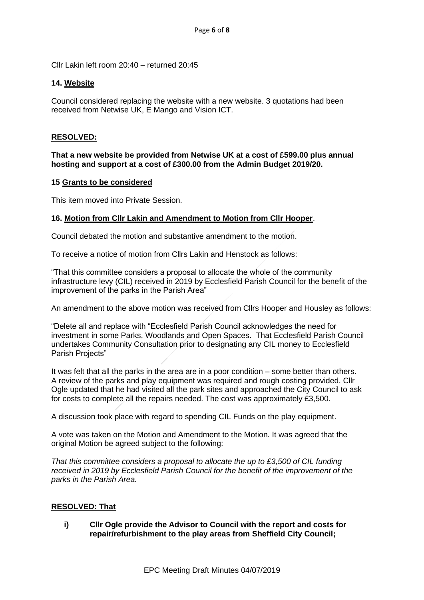Cllr Lakin left room 20:40 – returned 20:45

#### **14. Website**

Council considered replacing the website with a new website. 3 quotations had been received from Netwise UK, E Mango and Vision ICT.

#### **RESOLVED:**

#### **That a new website be provided from Netwise UK at a cost of £599.00 plus annual hosting and support at a cost of £300.00 from the Admin Budget 2019/20.**

#### **15 Grants to be considered**

This item moved into Private Session.

## **16. Motion from Cllr Lakin and Amendment to Motion from Cllr Hooper**.

Council debated the motion and substantive amendment to the motion.

To receive a notice of motion from Cllrs Lakin and Henstock as follows:

"That this committee considers a proposal to allocate the whole of the community infrastructure levy (CIL) received in 2019 by Ecclesfield Parish Council for the benefit of the improvement of the parks in the Parish Area"

An amendment to the above motion was received from Cllrs Hooper and Housley as follows:

"Delete all and replace with "Ecclesfield Parish Council acknowledges the need for investment in some Parks, Woodlands and Open Spaces. That Ecclesfield Parish Council undertakes Community Consultation prior to designating any CIL money to Ecclesfield Parish Projects"

It was felt that all the parks in the area are in a poor condition – some better than others. A review of the parks and play equipment was required and rough costing provided. Cllr Ogle updated that he had visited all the park sites and approached the City Council to ask for costs to complete all the repairs needed. The cost was approximately £3,500.

A discussion took place with regard to spending CIL Funds on the play equipment.

A vote was taken on the Motion and Amendment to the Motion. It was agreed that the original Motion be agreed subject to the following:

*That this committee considers a proposal to allocate the up to £3,500 of CIL funding received in 2019 by Ecclesfield Parish Council for the benefit of the improvement of the parks in the Parish Area.*

## **RESOLVED: That**

**i) Cllr Ogle provide the Advisor to Council with the report and costs for repair/refurbishment to the play areas from Sheffield City Council;**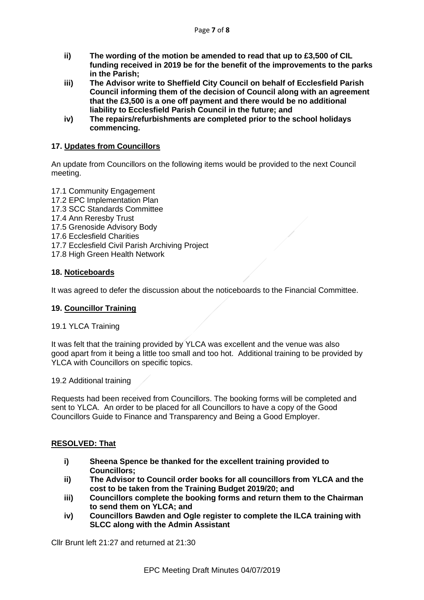- **ii) The wording of the motion be amended to read that up to £3,500 of CIL funding received in 2019 be for the benefit of the improvements to the parks in the Parish;**
- **iii) The Advisor write to Sheffield City Council on behalf of Ecclesfield Parish Council informing them of the decision of Council along with an agreement that the £3,500 is a one off payment and there would be no additional liability to Ecclesfield Parish Council in the future; and**
- **iv) The repairs/refurbishments are completed prior to the school holidays commencing.**

# **17. Updates from Councillors**

An update from Councillors on the following items would be provided to the next Council meeting.

17.1 Community Engagement 17.2 EPC Implementation Plan 17.3 SCC Standards Committee 17.4 Ann Reresby Trust 17.5 Grenoside Advisory Body 17.6 Ecclesfield Charities 17.7 Ecclesfield Civil Parish Archiving Project 17.8 High Green Health Network

## **18. Noticeboards**

It was agreed to defer the discussion about the noticeboards to the Financial Committee.

#### **19. Councillor Training**

#### 19.1 YLCA Training

It was felt that the training provided by YLCA was excellent and the venue was also good apart from it being a little too small and too hot. Additional training to be provided by YLCA with Councillors on specific topics.

19.2 Additional training

Requests had been received from Councillors. The booking forms will be completed and sent to YLCA. An order to be placed for all Councillors to have a copy of the Good Councillors Guide to Finance and Transparency and Being a Good Employer.

## **RESOLVED: That**

- **i) Sheena Spence be thanked for the excellent training provided to Councillors;**
- **ii) The Advisor to Council order books for all councillors from YLCA and the cost to be taken from the Training Budget 2019/20; and**
- **iii) Councillors complete the booking forms and return them to the Chairman to send them on YLCA; and**
- **iv) Councillors Bawden and Ogle register to complete the ILCA training with SLCC along with the Admin Assistant**

Cllr Brunt left 21:27 and returned at 21:30